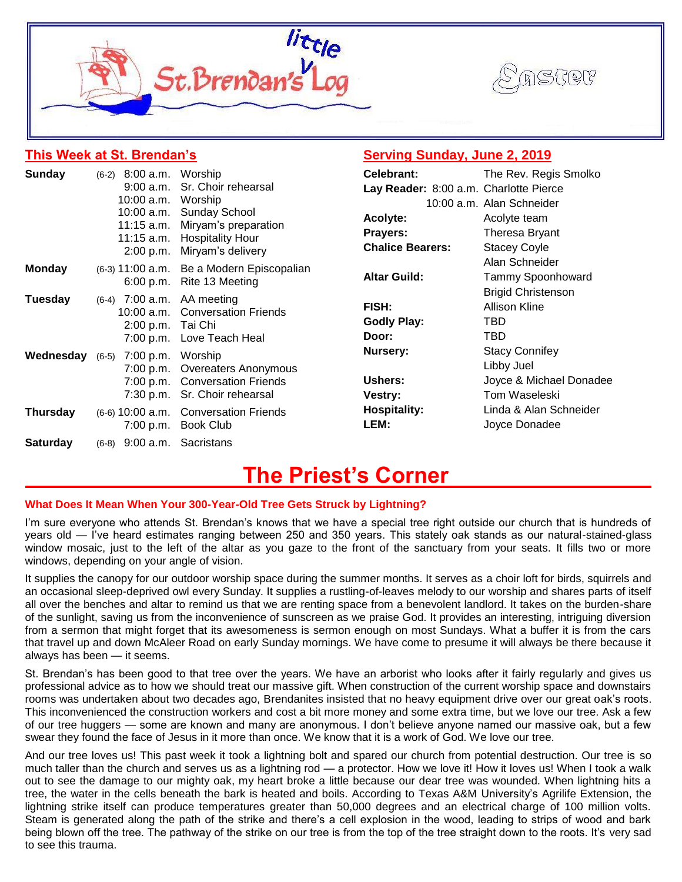



# **This Week at St. Brendan's**

# **Serving Sunday, June 2, 2019**

| <b>Sunday</b>   | $(6-2)$ 8:00 a.m. Worship    |                                                                                                                   | Celebrant:                             | The Rev. Regis Smolko                                 |  |
|-----------------|------------------------------|-------------------------------------------------------------------------------------------------------------------|----------------------------------------|-------------------------------------------------------|--|
|                 | 9:00 a.m.                    | Sr. Choir rehearsal                                                                                               | Lay Reader: 8:00 a.m. Charlotte Pierce |                                                       |  |
|                 | 10:00 a.m.                   | Worship<br>10:00 a.m. Sunday School<br>Miryam's preparation<br>11:15 a.m. Hospitality Hour<br>Miryam's delivery   |                                        | 10:00 a.m. Alan Schneider                             |  |
|                 |                              |                                                                                                                   | Acolyte:                               | Acolyte team<br>Theresa Bryant<br><b>Stacey Coyle</b> |  |
|                 | $11:15$ a.m.                 |                                                                                                                   | <b>Prayers:</b>                        |                                                       |  |
|                 | 2:00 p.m.                    |                                                                                                                   | <b>Chalice Bearers:</b>                |                                                       |  |
| <b>Monday</b>   |                              | (6-3) 11:00 a.m. Be a Modern Episcopalian<br>6:00 p.m. Rite 13 Meeting                                            |                                        | Alan Schneider                                        |  |
|                 |                              |                                                                                                                   | <b>Altar Guild:</b>                    | Tammy Spoonhoward                                     |  |
| Tuesday         |                              | $(6-4)$ 7:00 a.m. AA meeting<br>10:00 a.m. Conversation Friends<br>2:00 p.m. Tai Chi<br>7:00 p.m. Love Teach Heal |                                        | <b>Brigid Christenson</b>                             |  |
|                 |                              |                                                                                                                   | FISH:                                  | <b>Allison Kline</b>                                  |  |
|                 |                              |                                                                                                                   | <b>Godly Play:</b>                     | TBD.                                                  |  |
|                 |                              |                                                                                                                   | Door:                                  | TBD                                                   |  |
| Wednesday       | $(6-5)$ 7:00 p.m.            | Worship                                                                                                           | Nursery:                               | <b>Stacy Connifey</b>                                 |  |
|                 |                              | 7:00 p.m. Overeaters Anonymous<br>7:00 p.m. Conversation Friends                                                  |                                        | Libby Juel                                            |  |
|                 |                              |                                                                                                                   | Ushers:                                | Joyce & Michael Donadee                               |  |
|                 |                              | 7:30 p.m. Sr. Choir rehearsal                                                                                     | Vestry:                                | Tom Waseleski                                         |  |
| <b>Thursday</b> | $(6-6)$ 10:00 a.m.           | <b>Conversation Friends</b>                                                                                       | <b>Hospitality:</b>                    | Linda & Alan Schneider                                |  |
|                 | 7:00 p.m.                    | Book Club                                                                                                         | LEM:                                   | Joyce Donadee                                         |  |
| <b>Saturday</b> | $(6-8)$ 9:00 a.m. Sacristans |                                                                                                                   |                                        |                                                       |  |

# **The Priest's Corner**

# **What Does It Mean When Your 300-Year-Old Tree Gets Struck by Lightning?**

I'm sure everyone who attends St. Brendan's knows that we have a special tree right outside our church that is hundreds of years old — I've heard estimates ranging between 250 and 350 years. This stately oak stands as our natural-stained-glass window mosaic, just to the left of the altar as you gaze to the front of the sanctuary from your seats. It fills two or more windows, depending on your angle of vision.

It supplies the canopy for our outdoor worship space during the summer months. It serves as a choir loft for birds, squirrels and an occasional sleep-deprived owl every Sunday. It supplies a rustling-of-leaves melody to our worship and shares parts of itself all over the benches and altar to remind us that we are renting space from a benevolent landlord. It takes on the burden-share of the sunlight, saving us from the inconvenience of sunscreen as we praise God. It provides an interesting, intriguing diversion from a sermon that might forget that its awesomeness is sermon enough on most Sundays. What a buffer it is from the cars that travel up and down McAleer Road on early Sunday mornings. We have come to presume it will always be there because it always has been — it seems.

St. Brendan's has been good to that tree over the years. We have an arborist who looks after it fairly regularly and gives us professional advice as to how we should treat our massive gift. When construction of the current worship space and downstairs rooms was undertaken about two decades ago, Brendanites insisted that no heavy equipment drive over our great oak's roots. This inconvenienced the construction workers and cost a bit more money and some extra time, but we love our tree. Ask a few of our tree huggers — some are known and many are anonymous. I don't believe anyone named our massive oak, but a few swear they found the face of Jesus in it more than once. We know that it is a work of God. We love our tree.

And our tree loves us! This past week it took a lightning bolt and spared our church from potential destruction. Our tree is so much taller than the church and serves us as a lightning rod — a protector. How we love it! How it loves us! When I took a walk out to see the damage to our mighty oak, my heart broke a little because our dear tree was wounded. When lightning hits a tree, the water in the cells beneath the bark is heated and boils. According to Texas A&M University's Agrilife Extension, the lightning strike itself can produce temperatures greater than 50,000 degrees and an electrical charge of 100 million volts. Steam is generated along the path of the strike and there's a cell explosion in the wood, leading to strips of wood and bark being blown off the tree. The pathway of the strike on our tree is from the top of the tree straight down to the roots. It's very sad to see this trauma.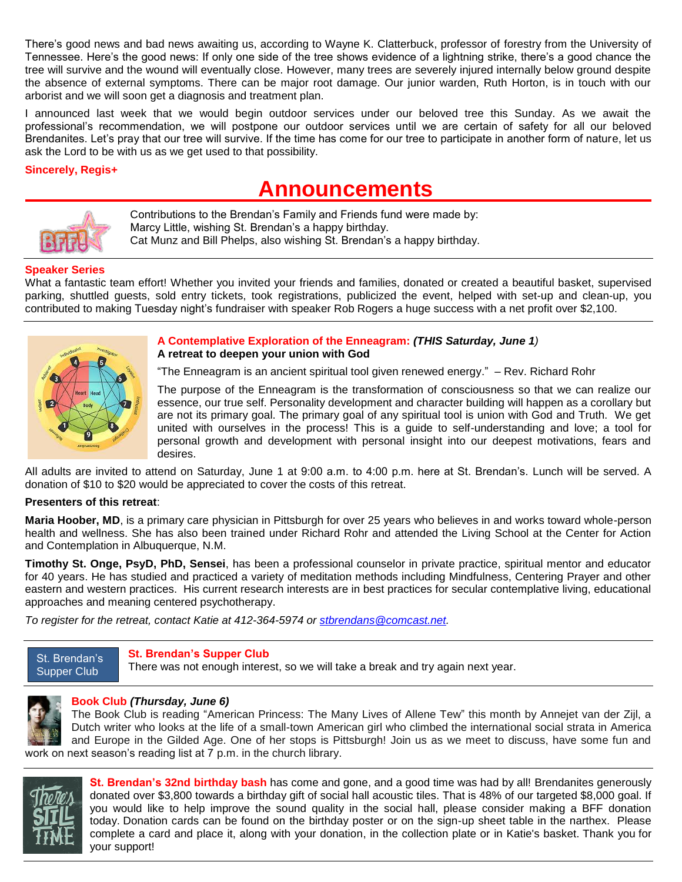There's good news and bad news awaiting us, according to Wayne K. Clatterbuck, professor of forestry from the University of Tennessee. Here's the good news: If only one side of the tree shows evidence of a lightning strike, there's a good chance the tree will survive and the wound will eventually close. However, many trees are severely injured internally below ground despite the absence of external symptoms. There can be major root damage. Our junior warden, Ruth Horton, is in touch with our arborist and we will soon get a diagnosis and treatment plan.

I announced last week that we would begin outdoor services under our beloved tree this Sunday. As we await the professional's recommendation, we will postpone our outdoor services until we are certain of safety for all our beloved Brendanites. Let's pray that our tree will survive. If the time has come for our tree to participate in another form of nature, let us ask the Lord to be with us as we get used to that possibility.

## **Sincerely, Regis+**

# **Announcements**



 Contributions to the Brendan's Family and Friends fund were made by: Marcy Little, wishing St. Brendan's a happy birthday. Cat Munz and Bill Phelps, also wishing St. Brendan's a happy birthday.

# **Speaker Series**

What a fantastic team effort! Whether you invited your friends and families, donated or created a beautiful basket, supervised parking, shuttled guests, sold entry tickets, took registrations, publicized the event, helped with set-up and clean-up, you contributed to making Tuesday night's fundraiser with speaker Rob Rogers a huge success with a net profit over \$2,100.



## **A Contemplative Exploration of the Enneagram:** *(THIS Saturday, June 1)* **A retreat to deepen your union with God**

"The Enneagram is an ancient spiritual tool given renewed energy." – Rev. Richard Rohr

The purpose of the Enneagram is the transformation of consciousness so that we can realize our essence, our true self. Personality development and character building will happen as a corollary but are not its primary goal. The primary goal of any spiritual tool is union with God and Truth. We get united with ourselves in the process! This is a guide to self-understanding and love; a tool for personal growth and development with personal insight into our deepest motivations, fears and desires.

All adults are invited to attend on Saturday, June 1 at 9:00 a.m. to 4:00 p.m. here at St. Brendan's. Lunch will be served. A donation of \$10 to \$20 would be appreciated to cover the costs of this retreat.

#### **Presenters of this retreat**:

**Maria Hoober, MD**, is a primary care physician in Pittsburgh for over 25 years who believes in and works toward whole-person health and wellness. She has also been trained under Richard Rohr and attended the Living School at the Center for Action and Contemplation in Albuquerque, N.M.

**Timothy St. Onge, PsyD, PhD, Sensei**, has been a professional counselor in private practice, spiritual mentor and educator for 40 years. He has studied and practiced a variety of meditation methods including Mindfulness, Centering Prayer and other eastern and western practices. His current research interests are in best practices for secular contemplative living, educational approaches and meaning centered psychotherapy.

*To register for the retreat, contact Katie at 412-364-5974 or [stbrendans@comcast.net.](mailto:stbrendans@comcast.net)*

#### St. Brendan's Supper Club

# **St. Brendan's Supper Club**

There was not enough interest, so we will take a break and try again next year.



# **Book Club** *(Thursday, June 6)*

The Book Club is reading "American Princess: The Many Lives of Allene Tew" this month by Annejet van der Zijl, a Dutch writer who looks at the life of a small-town American girl who climbed the international social strata in America and Europe in the Gilded Age. One of her stops is Pittsburgh! Join us as we meet to discuss, have some fun and work on next season's reading list at 7 p.m. in the church library.



**St. Brendan's 32nd birthday bash** has come and gone, and a good time was had by all! Brendanites generously donated over \$3,800 towards a birthday gift of social hall acoustic tiles. That is 48% of our targeted \$8,000 goal. If you would like to help improve the sound quality in the social hall, please consider making a BFF donation today. Donation cards can be found on the birthday poster or on the sign-up sheet table in the narthex. Please complete a card and place it, along with your donation, in the collection plate or in Katie's basket. Thank you for your support!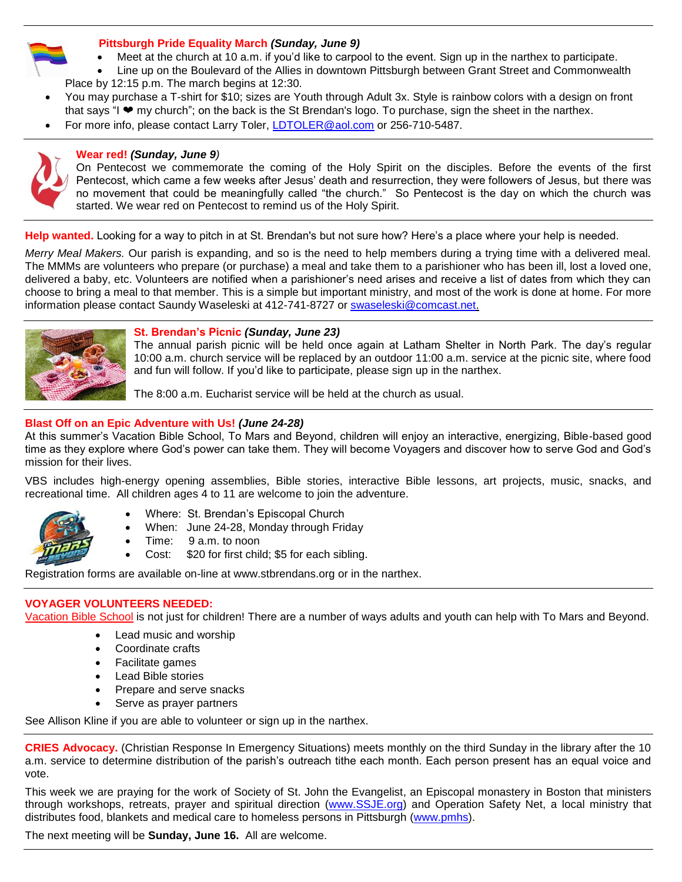

#### **Pittsburgh Pride Equality March** *(Sunday, June 9)*

- Meet at the church at 10 a.m. if you'd like to carpool to the event. Sign up in the narthex to participate.
- Line up on the Boulevard of the Allies in downtown Pittsburgh between Grant Street and Commonwealth Place by 12:15 p.m. The march begins at 12:30.
- You may purchase a T-shirt for \$10; sizes are Youth through Adult 3x. Style is rainbow colors with a design on front that says "I ❤ my church"; on the back is the St Brendan's logo. To purchase, sign the sheet in the narthex.
- For more info, please contact Larry Toler, [LDTOLER@aol.com](mailto:LDTOLER@aol.com) or 256-710-5487.



# **Wear red!** *(Sunday, June 9)*

On Pentecost we commemorate the coming of the Holy Spirit on the disciples. Before the events of the first Pentecost, which came a few weeks after Jesus' death and resurrection, they were followers of Jesus, but there was no movement that could be meaningfully called "the church." So Pentecost is the day on which the church was started. We wear red on Pentecost to remind us of the Holy Spirit.

**Help wanted.** Looking for a way to pitch in at St. Brendan's but not sure how? Here's a place where your help is needed.

*Merry Meal Makers.* Our parish is expanding, and so is the need to help members during a trying time with a delivered meal. The MMMs are volunteers who prepare (or purchase) a meal and take them to a parishioner who has been ill, lost a loved one, delivered a baby, etc. Volunteers are notified when a parishioner's need arises and receive a list of dates from which they can choose to bring a meal to that member. This is a simple but important ministry, and most of the work is done at home. For more information please contact Saundy Waseleski at 412-741-8727 or [swaseleski@comcast.net.](mailto:swaseleski@comcast.net)



#### **St. Brendan's Picnic** *(Sunday, June 23)*

The annual parish picnic will be held once again at Latham Shelter in North Park. The day's regular 10:00 a.m. church service will be replaced by an outdoor 11:00 a.m. service at the picnic site, where food and fun will follow. If you'd like to participate, please sign up in the narthex.

The 8:00 a.m. Eucharist service will be held at the church as usual.

## **Blast Off on an Epic Adventure with Us!** *(June 24-28)*

At this summer's Vacation Bible School, To Mars and Beyond, children will enjoy an interactive, energizing, Bible-based good time as they explore where God's power can take them. They will become Voyagers and discover how to serve God and God's mission for their lives.

VBS includes high-energy opening assemblies, Bible stories, interactive Bible lessons, art projects, music, snacks, and recreational time. All children ages 4 to 11 are welcome to join the adventure.



- Where: St. Brendan's Episcopal Church
- When: June 24-28, Monday through Friday
- Time: 9 a.m. to noon
- Cost: \$20 for first child; \$5 for each sibling.

Registration forms are available on-line at www.stbrendans.org or in the narthex.

# **VOYAGER VOLUNTEERS NEEDED:**

Vacation Bible School is not just for children! There are a number of ways adults and youth can help with To Mars and Beyond.

- Lead music and worship
- Coordinate crafts
- Facilitate games
- Lead Bible stories
- Prepare and serve snacks
- Serve as prayer partners

See Allison Kline if you are able to volunteer or sign up in the narthex.

**CRIES Advocacy.** (Christian Response In Emergency Situations) meets monthly on the third Sunday in the library after the 10 a.m. service to determine distribution of the parish's outreach tithe each month. Each person present has an equal voice and vote.

This week we are praying for the work of Society of St. John the Evangelist, an Episcopal monastery in Boston that ministers through workshops, retreats, prayer and spiritual direction [\(www.SSJE.org\)](http://www.ssje.org/) and Operation Safety Net, a local ministry that distributes food, blankets and medical care to homeless persons in Pittsburgh [\(www.pmhs\)](http://www.pmhs/).

The next meeting will be **Sunday, June 16.** All are welcome.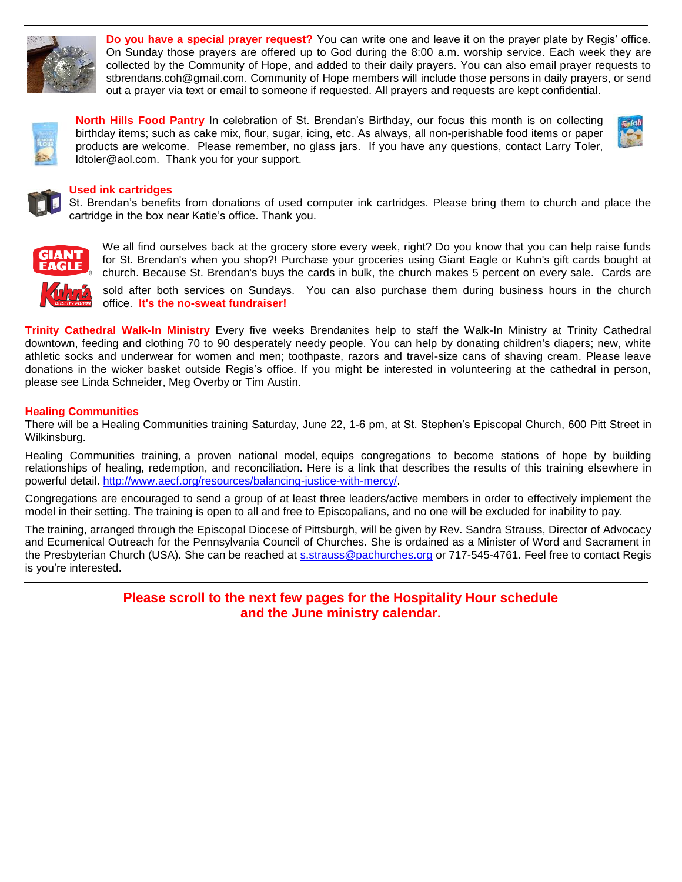

**Do you have a special prayer request?** You can write one and leave it on the prayer plate by Regis' office. On Sunday those prayers are offered up to God during the 8:00 a.m. worship service. Each week they are collected by the Community of Hope, and added to their daily prayers. You can also email prayer requests to stbrendans.coh@gmail.com. Community of Hope members will include those persons in daily prayers, or send out a prayer via text or email to someone if requested. All prayers and requests are kept confidential.



**North Hills Food Pantry** In celebration of St. Brendan's Birthday, our focus this month is on collecting birthday items; such as cake mix, flour, sugar, icing, etc. As always, all non-perishable food items or paper products are welcome. Please remember, no glass jars. If you have any questions, contact Larry Toler, ldtoler@aol.com. Thank you for your support.



## **Used ink cartridges**

St. Brendan's benefits from donations of used computer ink cartridges. Please bring them to church and place the cartridge in the box near Katie's office. Thank you.



We all find ourselves back at the grocery store every week, right? Do you know that you can help raise funds for St. Brendan's when you shop?! Purchase your groceries using Giant Eagle or Kuhn's gift cards bought at church. Because St. Brendan's buys the cards in bulk, the church makes 5 percent on every sale. Cards are

sold after both services on Sundays. You can also purchase them during business hours in the church office. **It's the no-sweat fundraiser!**

**Trinity Cathedral Walk-In Ministry** Every five weeks Brendanites help to staff the Walk-In Ministry at Trinity Cathedral downtown, feeding and clothing 70 to 90 desperately needy people. You can help by donating children's diapers; new, white athletic socks and underwear for women and men; toothpaste, razors and travel-size cans of shaving cream. Please leave donations in the wicker basket outside Regis's office. If you might be interested in volunteering at the cathedral in person, please see Linda Schneider, Meg Overby or Tim Austin.

#### **Healing Communities**

There will be a Healing Communities training Saturday, June 22, 1-6 pm, at St. Stephen's Episcopal Church, 600 Pitt Street in Wilkinsburg.

Healing Communities training, a proven national model, equips congregations to become stations of hope by building relationships of healing, redemption, and reconciliation. Here is a link that describes the results of this training elsewhere in powerful detail. [http://www.aecf.org/resources/balancing-justice-with-mercy/.](http://www.aecf.org/resources/balancing-justice-with-mercy/)

Congregations are encouraged to send a group of at least three leaders/active members in order to effectively implement the model in their setting. The training is open to all and free to Episcopalians, and no one will be excluded for inability to pay.

The training, arranged through the Episcopal Diocese of Pittsburgh, will be given by Rev. Sandra Strauss, Director of Advocacy and Ecumenical Outreach for the Pennsylvania Council of Churches. She is ordained as a Minister of Word and Sacrament in the Presbyterian Church (USA). She can be reached at [s.strauss@pachurches.org](mailto:s.strauss@pachurchesorg) or 717-545-4761. Feel free to contact Regis is you're interested.

> **Please scroll to the next few pages for the Hospitality Hour schedule and the June ministry calendar.**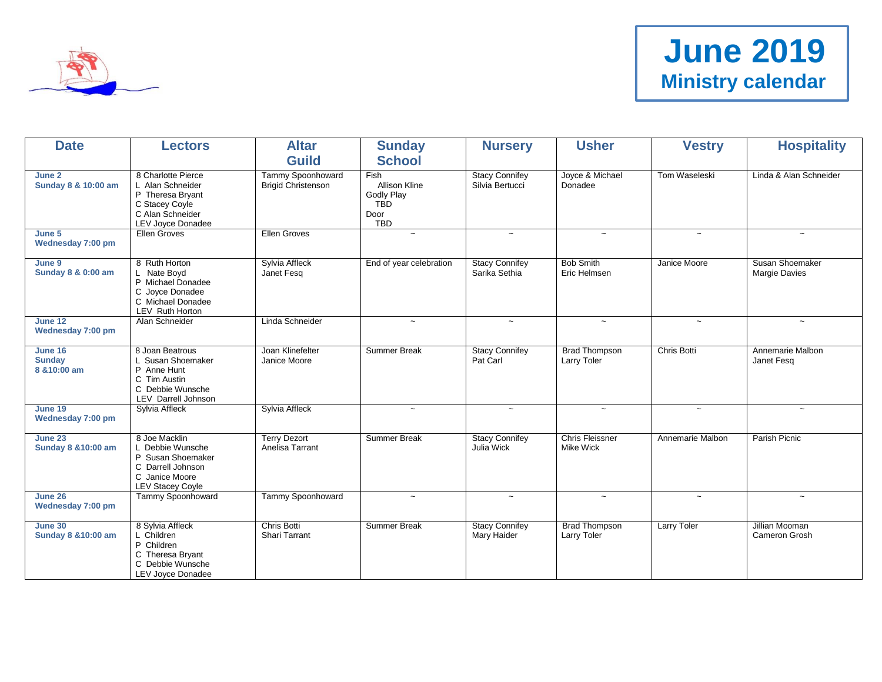

| <b>Date</b>                                      | <b>Lectors</b>                                                                                                           | <b>Altar</b>                                   | <b>Sunday</b>                                                                  | <b>Nursery</b>                              | <b>Usher</b>                               | <b>Vestry</b>      | <b>Hospitality</b>                      |
|--------------------------------------------------|--------------------------------------------------------------------------------------------------------------------------|------------------------------------------------|--------------------------------------------------------------------------------|---------------------------------------------|--------------------------------------------|--------------------|-----------------------------------------|
|                                                  |                                                                                                                          | <b>Guild</b>                                   | <b>School</b>                                                                  |                                             |                                            |                    |                                         |
| June 2<br>Sunday 8 & 10:00 am                    | 8 Charlotte Pierce<br>L Alan Schneider<br>P Theresa Bryant<br>C Stacey Coyle<br>C Alan Schneider<br>LEV Joyce Donadee    | Tammy Spoonhoward<br><b>Brigid Christenson</b> | Fish<br><b>Allison Kline</b><br><b>Godly Play</b><br><b>TBD</b><br>Door<br>TBD | <b>Stacy Connifey</b><br>Silvia Bertucci    | Joyce & Michael<br>Donadee                 | Tom Waseleski      | Linda & Alan Schneider                  |
| June 5<br>Wednesday 7:00 pm                      | Ellen Groves                                                                                                             | <b>Ellen Groves</b>                            | $\widetilde{\phantom{m}}$                                                      | $\thicksim$                                 | $\thicksim$                                | $\thicksim$        | $\thicksim$                             |
| June 9<br>Sunday 8 & 0:00 am                     | 8 Ruth Horton<br>L Nate Boyd<br>P Michael Donadee<br>C Joyce Donadee<br>C Michael Donadee<br>LEV Ruth Horton             | Sylvia Affleck<br>Janet Fesq                   | End of year celebration                                                        | <b>Stacy Connifey</b><br>Sarika Sethia      | <b>Bob Smith</b><br>Eric Helmsen           | Janice Moore       | Susan Shoemaker<br><b>Margie Davies</b> |
| June 12<br>Wednesday 7:00 pm                     | Alan Schneider                                                                                                           | Linda Schneider                                | $\widetilde{\phantom{m}}$                                                      | $\thicksim$                                 | $\thicksim$                                | $\thicksim$        | $\thicksim$                             |
| <b>June 16</b><br><b>Sunday</b><br>8 & 10:00 am  | 8 Joan Beatrous<br>L Susan Shoemaker<br>P Anne Hunt<br>C Tim Austin<br>C Debbie Wunsche<br><b>LEV</b> Darrell Johnson    | Joan Klinefelter<br>Janice Moore               | <b>Summer Break</b>                                                            | <b>Stacy Connifey</b><br>Pat Carl           | <b>Brad Thompson</b><br>Larry Toler        | Chris Botti        | Annemarie Malbon<br>Janet Fesq          |
| <b>June 19</b><br>Wednesday 7:00 pm              | Sylvia Affleck                                                                                                           | Sylvia Affleck                                 | $\widetilde{\phantom{m}}$                                                      | $\sim$                                      | $\thicksim$                                | $\thicksim$        | $\sim$                                  |
| <b>June 23</b><br><b>Sunday 8 &amp; 10:00 am</b> | 8 Joe Macklin<br>L Debbie Wunsche<br>P Susan Shoemaker<br>C Darrell Johnson<br>C Janice Moore<br><b>LEV Stacey Coyle</b> | <b>Terry Dezort</b><br>Anelisa Tarrant         | <b>Summer Break</b>                                                            | <b>Stacy Connifey</b><br>Julia Wick         | <b>Chris Fleissner</b><br><b>Mike Wick</b> | Annemarie Malbon   | Parish Picnic                           |
| June 26<br>Wednesday 7:00 pm                     | Tammy Spoonhoward                                                                                                        | Tammy Spoonhoward                              | $\tilde{\phantom{a}}$                                                          | $\sim$                                      | $\sim$                                     | $\sim$             | $\sim$                                  |
| <b>June 30</b><br><b>Sunday 8 &amp; 10:00 am</b> | 8 Sylvia Affleck<br>L Children<br>P Children<br>C Theresa Bryant<br>C Debbie Wunsche<br>LEV Joyce Donadee                | Chris Botti<br><b>Shari Tarrant</b>            | <b>Summer Break</b>                                                            | <b>Stacy Connifey</b><br><b>Mary Haider</b> | <b>Brad Thompson</b><br>Larry Toler        | <b>Larry Toler</b> | Jillian Mooman<br>Cameron Grosh         |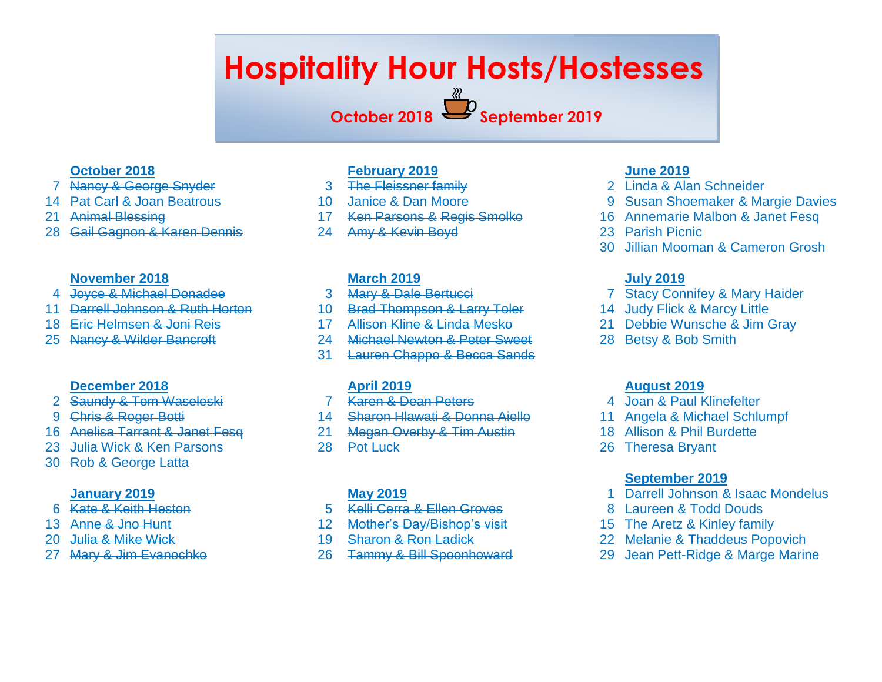# **Hospitality Hour Hosts/Hostesses**

**October 2018 September 2019**

# **October 2018**

- Nancy & George Snyder
- Pat Carl & Joan Beatrous
- Animal Blessing
- Gail Gagnon & Karen Dennis

# **November 2018**

- Joyce & Michael Donadee
- Darrell Johnson & Ruth Horton
- Eric Helmsen & Joni Reis
- Nancy & Wilder Bancroft

# **December 2018**

- Saundy & Tom Waseleski
- Chris & Roger Botti
- 16 Anelisa Tarrant & Janet Fesg
- 23 Julia Wick & Ken Parsons
- Rob & George Latta

# **January 2019**

- Kate & Keith Heston
- Anne & Jno Hunt
- Julia & Mike Wick
- Mary & Jim Evanochko

# **February 2019**

- 3 The Fleissner family
- Janice & Dan Moore
- 17 Ken Parsons & Regis Smolko
- Amy & Kevin Boyd

# **March 2019**

- Mary & Dale Bertucci
- Brad Thompson & Larry Toler
- Allison Kline & Linda Mesko
- Michael Newton & Peter Sweet
- Lauren Chappo & Becca Sands

# **April 2019**

- Karen & Dean Peters
- Sharon Hlawati & Donna Aiello
- Megan Overby & Tim Austin
- 28 Pot Luck

# **May 2019**

- Kelli Cerra & Ellen Groves
- Mother's Day/Bishop's visit
- Sharon & Ron Ladick
- Tammy & Bill Spoonhoward

# **June 2019**

- Linda & Alan Schneider
- Susan Shoemaker & Margie Davies
- Annemarie Malbon & Janet Fesq
- Parish Picnic
- Jillian Mooman & Cameron Grosh

# **July 2019**

- Stacy Connifey & Mary Haider
- Judy Flick & Marcy Little
- Debbie Wunsche & Jim Gray
- Betsy & Bob Smith

# **August 2019**

- 4 Joan & Paul Klinefelter
- Angela & Michael Schlumpf
- Allison & Phil Burdette
- Theresa Bryant

# **September 2019**

- Darrell Johnson & Isaac Mondelus
- Laureen & Todd Douds
- The Aretz & Kinley family
- Melanie & Thaddeus Popovich
- Jean Pett-Ridge & Marge Marine